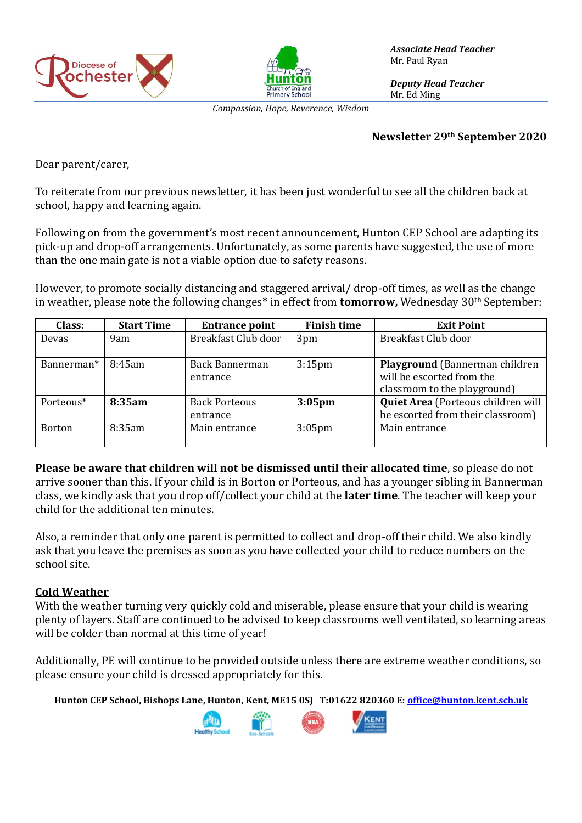



*Associate Head Teacher* Mr. Paul Ryan

*Deputy Head Teacher* Mr. Ed Ming

*Compassion, Hope, Reverence, Wisdom*

#### **Newsletter 29th September 2020**

Dear parent/carer,

To reiterate from our previous newsletter, it has been just wonderful to see all the children back at school, happy and learning again.

Following on from the government's most recent announcement, Hunton CEP School are adapting its pick-up and drop-off arrangements. Unfortunately, as some parents have suggested, the use of more than the one main gate is not a viable option due to safety reasons.

However, to promote socially distancing and staggered arrival/ drop-off times, as well as the change in weather, please note the following changes\* in effect from **tomorrow,** Wednesday 30th September:

| Class:                | <b>Start Time</b> | <b>Entrance point</b> | <b>Finish time</b> | <b>Exit Point</b>                  |
|-----------------------|-------------------|-----------------------|--------------------|------------------------------------|
| <b>Devas</b>          | 9am               | Breakfast Club door   | 3pm                | Breakfast Club door                |
|                       |                   |                       |                    |                                    |
| Bannerman*            | 8:45am            | Back Bannerman        | 3:15 <sub>pm</sub> | Playground (Bannerman children     |
|                       |                   | entrance              |                    | will be escorted from the          |
|                       |                   |                       |                    | classroom to the playground)       |
| Porteous <sup>*</sup> | 8:35am            | <b>Back Porteous</b>  | $3:05$ pm          | Quiet Area (Porteous children will |
|                       |                   | entrance              |                    | be escorted from their classroom)  |
| <b>Borton</b>         | 8:35am            | Main entrance         | $3:05$ pm          | Main entrance                      |
|                       |                   |                       |                    |                                    |

**Please be aware that children will not be dismissed until their allocated time**, so please do not arrive sooner than this. If your child is in Borton or Porteous, and has a younger sibling in Bannerman class, we kindly ask that you drop off/collect your child at the **later time**. The teacher will keep your child for the additional ten minutes.

Also, a reminder that only one parent is permitted to collect and drop-off their child. We also kindly ask that you leave the premises as soon as you have collected your child to reduce numbers on the school site.

### **Cold Weather**

With the weather turning very quickly cold and miserable, please ensure that your child is wearing plenty of layers. Staff are continued to be advised to keep classrooms well ventilated, so learning areas will be colder than normal at this time of year!

Additionally, PE will continue to be provided outside unless there are extreme weather conditions, so please ensure your child is dressed appropriately for this.

**Hunton CEP School, Bishops Lane, Hunton, Kent, ME15 0SJ T:01622 820360 E[: office@hunton.kent.sch.uk](mailto:office@hunton.kent.sch.uk)**